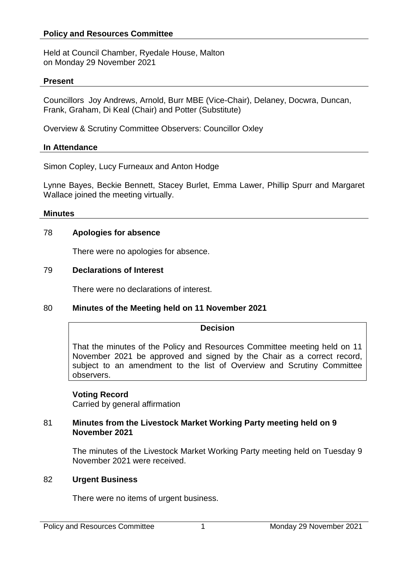## **Policy and Resources Committee**

Held at Council Chamber, Ryedale House, Malton on Monday 29 November 2021

#### **Present**

Councillors Joy Andrews, Arnold, Burr MBE (Vice-Chair), Delaney, Docwra, Duncan, Frank, Graham, Di Keal (Chair) and Potter (Substitute)

Overview & Scrutiny Committee Observers: Councillor Oxley

#### **In Attendance**

Simon Copley, Lucy Furneaux and Anton Hodge

Lynne Bayes, Beckie Bennett, Stacey Burlet, Emma Lawer, Phillip Spurr and Margaret Wallace joined the meeting virtually.

#### **Minutes**

### 78 **Apologies for absence**

There were no apologies for absence.

### 79 **Declarations of Interest**

There were no declarations of interest.

## 80 **Minutes of the Meeting held on 11 November 2021**

## **Decision**

That the minutes of the Policy and Resources Committee meeting held on 11 November 2021 be approved and signed by the Chair as a correct record, subject to an amendment to the list of Overview and Scrutiny Committee observers.

#### **Voting Record**

Carried by general affirmation

#### 81 **Minutes from the Livestock Market Working Party meeting held on 9 November 2021**

The minutes of the Livestock Market Working Party meeting held on Tuesday 9 November 2021 were received.

#### 82 **Urgent Business**

There were no items of urgent business.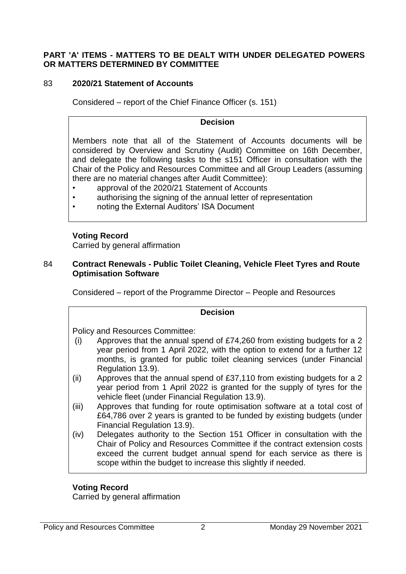## **PART 'A' ITEMS - MATTERS TO BE DEALT WITH UNDER DELEGATED POWERS OR MATTERS DETERMINED BY COMMITTEE**

## 83 **2020/21 Statement of Accounts**

Considered – report of the Chief Finance Officer (s. 151)

### **Decision**

Members note that all of the Statement of Accounts documents will be considered by Overview and Scrutiny (Audit) Committee on 16th December, and delegate the following tasks to the s151 Officer in consultation with the Chair of the Policy and Resources Committee and all Group Leaders (assuming there are no material changes after Audit Committee):

- approval of the 2020/21 Statement of Accounts
- authorising the signing of the annual letter of representation
- noting the External Auditors' ISA Document

### **Voting Record**

Carried by general affirmation

### 84 **Contract Renewals - Public Toilet Cleaning, Vehicle Fleet Tyres and Route Optimisation Software**

Considered – report of the Programme Director – People and Resources

#### **Decision**

Policy and Resources Committee:

- (i) Approves that the annual spend of £74,260 from existing budgets for a 2 year period from 1 April 2022, with the option to extend for a further 12 months, is granted for public toilet cleaning services (under Financial Regulation 13.9).
- (ii) Approves that the annual spend of £37,110 from existing budgets for a 2 year period from 1 April 2022 is granted for the supply of tyres for the vehicle fleet (under Financial Regulation 13.9).
- (iii) Approves that funding for route optimisation software at a total cost of £64,786 over 2 years is granted to be funded by existing budgets (under Financial Regulation 13.9).
- (iv) Delegates authority to the Section 151 Officer in consultation with the Chair of Policy and Resources Committee if the contract extension costs exceed the current budget annual spend for each service as there is scope within the budget to increase this slightly if needed.

## **Voting Record**

Carried by general affirmation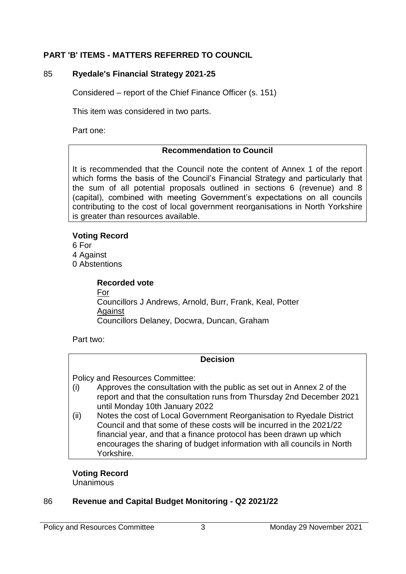# **PART 'B' ITEMS - MATTERS REFERRED TO COUNCIL**

# 85 **Ryedale's Financial Strategy 2021-25**

Considered – report of the Chief Finance Officer (s. 151)

This item was considered in two parts.

Part one:

# **Recommendation to Council**

It is recommended that the Council note the content of Annex 1 of the report which forms the basis of the Council's Financial Strategy and particularly that the sum of all potential proposals outlined in sections 6 (revenue) and 8 (capital), combined with meeting Government's expectations on all councils contributing to the cost of local government reorganisations in North Yorkshire is greater than resources available.

# **Voting Record**

6 For 4 Against 0 Abstentions

> **Recorded vote** For Councillors J Andrews, Arnold, Burr, Frank, Keal, Potter Against Councillors Delaney, Docwra, Duncan, Graham

Part two:

# **Decision**

Policy and Resources Committee:

- (i) Approves the consultation with the public as set out in Annex 2 of the report and that the consultation runs from Thursday 2nd December 2021 until Monday 10th January 2022
- (ii) Notes the cost of Local Government Reorganisation to Ryedale District Council and that some of these costs will be incurred in the 2021/22 financial year, and that a finance protocol has been drawn up which encourages the sharing of budget information with all councils in North Yorkshire.

# **Voting Record**

**Unanimous** 

# 86 **Revenue and Capital Budget Monitoring - Q2 2021/22**